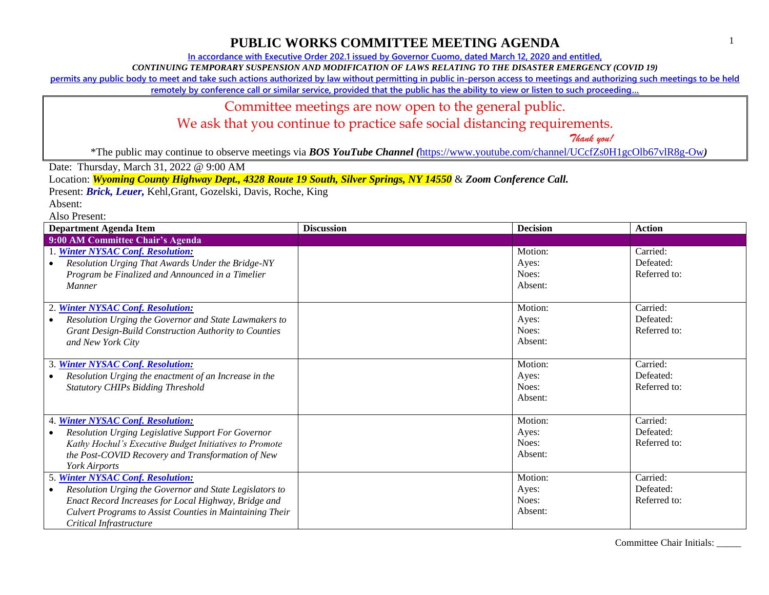1

#### **PUBLIC WORKS COMMITTEE MEETING AGENDA**

**In accordance with Executive Order 202.1 issued by Governor Cuomo, dated March 12, 2020 and entitled,**

*CONTINUING TEMPORARY SUSPENSION AND MODIFICATION OF LAWS RELATING TO THE DISASTER EMERGENCY (COVID 19)*

**permits any public body to meet and take such actions authorized by law without permitting in public in-person access to meetings and authorizing such meetings to be held** 

**remotely by conference call or similar service, provided that the public has the ability to view or listen to such proceeding…**

#### Committee meetings are now open to the general public.

#### We ask that you continue to practice safe social distancing requirements.

 *Thank you!*

\*The public may continue to observe meetings via *BOS YouTube Channel (*<https://www.youtube.com/channel/UCcfZs0H1gcOlb67vlR8g-Ow>*)*

Date: Thursday, March 31, 2022 @ 9:00 AM

Location: *Wyoming County Highway Dept., 4328 Route 19 South, Silver Springs, NY 14550* & *Zoom Conference Call.*

Present: *Brick, Leuer,* Kehl,Grant, Gozelski, Davis, Roche, King

Absent:

Also Present:

| <b>Department Agenda Item</b>                                                                                                                                                                                                                            | <b>Discussion</b> | <b>Decision</b>                      | <b>Action</b>                         |
|----------------------------------------------------------------------------------------------------------------------------------------------------------------------------------------------------------------------------------------------------------|-------------------|--------------------------------------|---------------------------------------|
| 9:00 AM Committee Chair's Agenda                                                                                                                                                                                                                         |                   |                                      |                                       |
| 1. Winter NYSAC Conf. Resolution:<br>Resolution Urging That Awards Under the Bridge-NY<br>Program be Finalized and Announced in a Timelier<br><b>Manner</b>                                                                                              |                   | Motion:<br>Ayes:<br>Noes:<br>Absent: | Carried:<br>Defeated:<br>Referred to: |
| 2. Winter NYSAC Conf. Resolution:<br>Resolution Urging the Governor and State Lawmakers to<br>Grant Design-Build Construction Authority to Counties<br>and New York City                                                                                 |                   | Motion:<br>Ayes:<br>Noes:<br>Absent: | Carried:<br>Defeated:<br>Referred to: |
| <b>Winter NYSAC Conf. Resolution:</b><br>3.<br>Resolution Urging the enactment of an Increase in the<br><b>Statutory CHIPs Bidding Threshold</b>                                                                                                         |                   | Motion:<br>Ayes:<br>Noes:<br>Absent: | Carried:<br>Defeated:<br>Referred to: |
| 4. Winter NYSAC Conf. Resolution:<br>Resolution Urging Legislative Support For Governor<br>Kathy Hochul's Executive Budget Initiatives to Promote<br>the Post-COVID Recovery and Transformation of New<br>York Airports                                  |                   | Motion:<br>Ayes:<br>Noes:<br>Absent: | Carried:<br>Defeated:<br>Referred to: |
| 5. Winter NYSAC Conf. Resolution:<br>Resolution Urging the Governor and State Legislators to<br>$\bullet$<br>Enact Record Increases for Local Highway, Bridge and<br>Culvert Programs to Assist Counties in Maintaining Their<br>Critical Infrastructure |                   | Motion:<br>Ayes:<br>Noes:<br>Absent: | Carried:<br>Defeated:<br>Referred to: |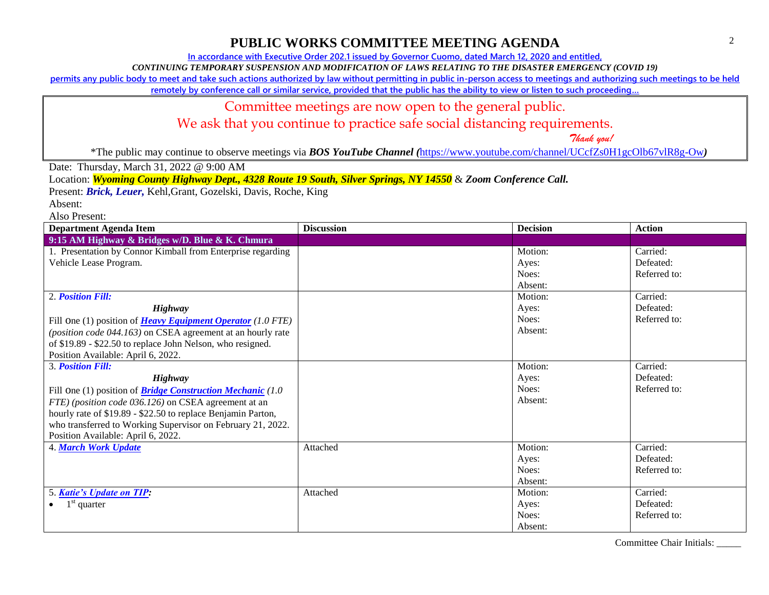**In accordance with Executive Order 202.1 issued by Governor Cuomo, dated March 12, 2020 and entitled,**

*CONTINUING TEMPORARY SUSPENSION AND MODIFICATION OF LAWS RELATING TO THE DISASTER EMERGENCY (COVID 19)*

**permits any public body to meet and take such actions authorized by law without permitting in public in-person access to meetings and authorizing such meetings to be held** 

**remotely by conference call or similar service, provided that the public has the ability to view or listen to such proceeding…**

#### Committee meetings are now open to the general public.

We ask that you continue to practice safe social distancing requirements.

 *Thank you!*

\*The public may continue to observe meetings via *BOS YouTube Channel (*<https://www.youtube.com/channel/UCcfZs0H1gcOlb67vlR8g-Ow>*)*

Date: Thursday, March 31, 2022 @ 9:00 AM

Location: *Wyoming County Highway Dept., 4328 Route 19 South, Silver Springs, NY 14550* & *Zoom Conference Call.*

Present: *Brick, Leuer,* Kehl,Grant, Gozelski, Davis, Roche, King

Absent:

Also Present:

| <b>Department Agenda Item</b>                                      | <b>Discussion</b> | <b>Decision</b> | <b>Action</b> |
|--------------------------------------------------------------------|-------------------|-----------------|---------------|
| 9:15 AM Highway & Bridges w/D. Blue & K. Chmura                    |                   |                 |               |
| 1. Presentation by Connor Kimball from Enterprise regarding        |                   | Motion:         | Carried:      |
| Vehicle Lease Program.                                             |                   | Ayes:           | Defeated:     |
|                                                                    |                   | Noes:           | Referred to:  |
|                                                                    |                   | Absent:         |               |
| 2. Position Fill:                                                  |                   | Motion:         | Carried:      |
| Highway                                                            |                   | Ayes:           | Defeated:     |
| Fill One (1) position of <b>Heavy Equipment Operator</b> (1.0 FTE) |                   | Noes:           | Referred to:  |
| (position code 044.163) on CSEA agreement at an hourly rate        |                   | Absent:         |               |
| of \$19.89 - \$22.50 to replace John Nelson, who resigned.         |                   |                 |               |
| Position Available: April 6, 2022.                                 |                   |                 |               |
| <b>3. Position Fill:</b>                                           |                   | Motion:         | Carried:      |
| Highway                                                            |                   | Ayes:           | Defeated:     |
| Fill One (1) position of <b>Bridge Construction Mechanic</b> (1.0) |                   | Noes:           | Referred to:  |
| FTE) (position code 036.126) on CSEA agreement at an               |                   | Absent:         |               |
| hourly rate of \$19.89 - \$22.50 to replace Benjamin Parton,       |                   |                 |               |
| who transferred to Working Supervisor on February 21, 2022.        |                   |                 |               |
| Position Available: April 6, 2022.                                 |                   |                 |               |
| <b>4. March Work Update</b>                                        | Attached          | Motion:         | Carried:      |
|                                                                    |                   | Ayes:           | Defeated:     |
|                                                                    |                   | Noes:           | Referred to:  |
|                                                                    |                   | Absent:         |               |
| 5. Katie's Update on TIP:                                          | Attached          | Motion:         | Carried:      |
| $1st$ quarter                                                      |                   | Ayes:           | Defeated:     |
|                                                                    |                   | Noes:           | Referred to:  |
|                                                                    |                   | Absent:         |               |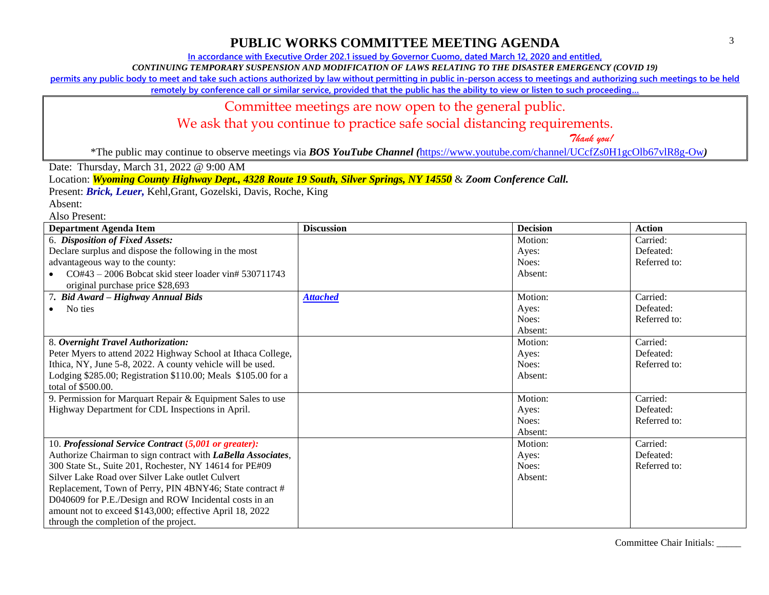**In accordance with Executive Order 202.1 issued by Governor Cuomo, dated March 12, 2020 and entitled,**

*CONTINUING TEMPORARY SUSPENSION AND MODIFICATION OF LAWS RELATING TO THE DISASTER EMERGENCY (COVID 19)*

**permits any public body to meet and take such actions authorized by law without permitting in public in-person access to meetings and authorizing such meetings to be held** 

**remotely by conference call or similar service, provided that the public has the ability to view or listen to such proceeding…**

#### Committee meetings are now open to the general public.

We ask that you continue to practice safe social distancing requirements.

 *Thank you!*

\*The public may continue to observe meetings via *BOS YouTube Channel (*<https://www.youtube.com/channel/UCcfZs0H1gcOlb67vlR8g-Ow>*)*

Date: Thursday, March 31, 2022 @ 9:00 AM

Location: *Wyoming County Highway Dept., 4328 Route 19 South, Silver Springs, NY 14550* & *Zoom Conference Call.*

Present: *Brick, Leuer,* Kehl,Grant, Gozelski, Davis, Roche, King

Absent:

Also Present:

| <b>Department Agenda Item</b>                                 | <b>Discussion</b> | <b>Decision</b> | <b>Action</b> |
|---------------------------------------------------------------|-------------------|-----------------|---------------|
| 6. Disposition of Fixed Assets:                               |                   | Motion:         | Carried:      |
| Declare surplus and dispose the following in the most         |                   | Ayes:           | Defeated:     |
| advantageous way to the county:                               |                   | Noes:           | Referred to:  |
| CO#43 - 2006 Bobcat skid steer loader vin# 530711743          |                   | Absent:         |               |
| original purchase price \$28,693                              |                   |                 |               |
| 7. Bid Award – Highway Annual Bids                            | <b>Attached</b>   | Motion:         | Carried:      |
| No ties                                                       |                   | Ayes:           | Defeated:     |
|                                                               |                   | Noes:           | Referred to:  |
|                                                               |                   | Absent:         |               |
| 8. Overnight Travel Authorization:                            |                   | Motion:         | Carried:      |
| Peter Myers to attend 2022 Highway School at Ithaca College,  |                   | Ayes:           | Defeated:     |
| Ithica, NY, June 5-8, 2022. A county vehicle will be used.    |                   | Noes:           | Referred to:  |
| Lodging \$285.00; Registration \$110.00; Meals \$105.00 for a |                   | Absent:         |               |
| total of \$500.00.                                            |                   |                 |               |
| 9. Permission for Marquart Repair & Equipment Sales to use    |                   | Motion:         | Carried:      |
| Highway Department for CDL Inspections in April.              |                   | Ayes:           | Defeated:     |
|                                                               |                   | Noes:           | Referred to:  |
|                                                               |                   | Absent:         |               |
| 10. Professional Service Contract (5,001 or greater):         |                   | Motion:         | Carried:      |
| Authorize Chairman to sign contract with LaBella Associates,  |                   | Ayes:           | Defeated:     |
| 300 State St., Suite 201, Rochester, NY 14614 for PE#09       |                   | Noes:           | Referred to:  |
| Silver Lake Road over Silver Lake outlet Culvert              |                   | Absent:         |               |
| Replacement, Town of Perry, PIN 4BNY46; State contract #      |                   |                 |               |
| D040609 for P.E./Design and ROW Incidental costs in an        |                   |                 |               |
| amount not to exceed \$143,000; effective April 18, 2022      |                   |                 |               |
| through the completion of the project.                        |                   |                 |               |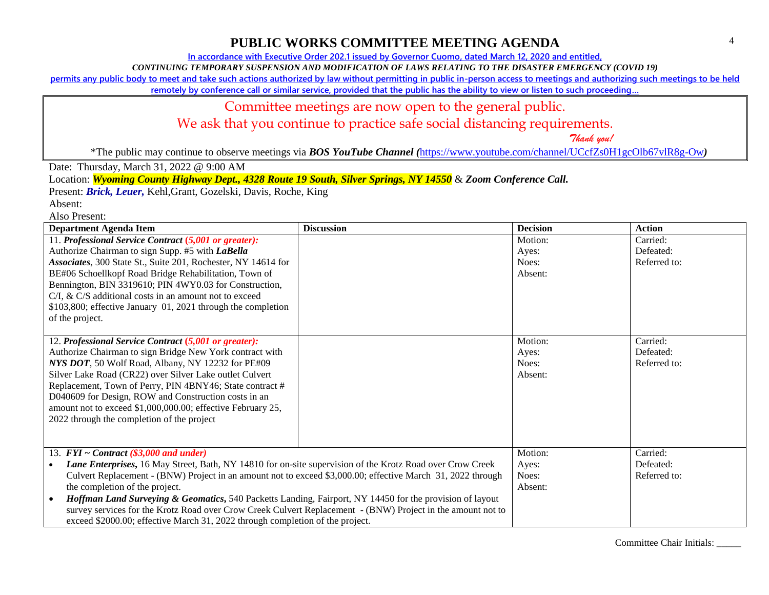**In accordance with Executive Order 202.1 issued by Governor Cuomo, dated March 12, 2020 and entitled,**

*CONTINUING TEMPORARY SUSPENSION AND MODIFICATION OF LAWS RELATING TO THE DISASTER EMERGENCY (COVID 19)*

**permits any public body to meet and take such actions authorized by law without permitting in public in-person access to meetings and authorizing such meetings to be held** 

**remotely by conference call or similar service, provided that the public has the ability to view or listen to such proceeding…**

### Committee meetings are now open to the general public.

We ask that you continue to practice safe social distancing requirements.

 *Thank you!*

\*The public may continue to observe meetings via *BOS YouTube Channel (*<https://www.youtube.com/channel/UCcfZs0H1gcOlb67vlR8g-Ow>*)*

Date: Thursday, March 31, 2022 @ 9:00 AM

Location: *Wyoming County Highway Dept., 4328 Route 19 South, Silver Springs, NY 14550* & *Zoom Conference Call.*

Present: *Brick, Leuer,* Kehl,Grant, Gozelski, Davis, Roche, King

Absent:

Also Present:

| <b>Department Agenda Item</b>                                                                                         | <b>Discussion</b> | <b>Decision</b> | <b>Action</b> |
|-----------------------------------------------------------------------------------------------------------------------|-------------------|-----------------|---------------|
| 11. Professional Service Contract (5,001 or greater):                                                                 |                   | Motion:         | Carried:      |
| Authorize Chairman to sign Supp. #5 with LaBella                                                                      |                   | Ayes:           | Defeated:     |
| Associates, 300 State St., Suite 201, Rochester, NY 14614 for                                                         |                   | Noes:           | Referred to:  |
| BE#06 Schoellkopf Road Bridge Rehabilitation, Town of                                                                 |                   | Absent:         |               |
| Bennington, BIN 3319610; PIN 4WY0.03 for Construction,                                                                |                   |                 |               |
| $C/I$ , & $C/S$ additional costs in an amount not to exceed                                                           |                   |                 |               |
| \$103,800; effective January 01, 2021 through the completion                                                          |                   |                 |               |
| of the project.                                                                                                       |                   |                 |               |
|                                                                                                                       |                   |                 |               |
| 12. Professional Service Contract (5,001 or greater):                                                                 |                   | Motion:         | Carried:      |
| Authorize Chairman to sign Bridge New York contract with                                                              |                   | Ayes:           | Defeated:     |
| NYS DOT, 50 Wolf Road, Albany, NY 12232 for PE#09                                                                     |                   | Noes:           | Referred to:  |
| Silver Lake Road (CR22) over Silver Lake outlet Culvert                                                               |                   | Absent:         |               |
| Replacement, Town of Perry, PIN 4BNY46; State contract #                                                              |                   |                 |               |
| D040609 for Design, ROW and Construction costs in an                                                                  |                   |                 |               |
| amount not to exceed \$1,000,000.00; effective February 25,                                                           |                   |                 |               |
| 2022 through the completion of the project                                                                            |                   |                 |               |
|                                                                                                                       |                   |                 |               |
|                                                                                                                       |                   |                 |               |
| 13. $FYI \sim Contract$ (\$3,000 and under)                                                                           |                   | Motion:         | Carried:      |
| Lane Enterprises, 16 May Street, Bath, NY 14810 for on-site supervision of the Krotz Road over Crow Creek             |                   | Ayes:           | Defeated:     |
| Culvert Replacement - (BNW) Project in an amount not to exceed \$3,000.00; effective March 31, 2022 through           |                   | Noes:           | Referred to:  |
| the completion of the project.                                                                                        |                   | Absent:         |               |
| Hoffman Land Surveying & Geomatics, 540 Packetts Landing, Fairport, NY 14450 for the provision of layout<br>$\bullet$ |                   |                 |               |
| survey services for the Krotz Road over Crow Creek Culvert Replacement - (BNW) Project in the amount not to           |                   |                 |               |
| exceed \$2000.00; effective March 31, 2022 through completion of the project.                                         |                   |                 |               |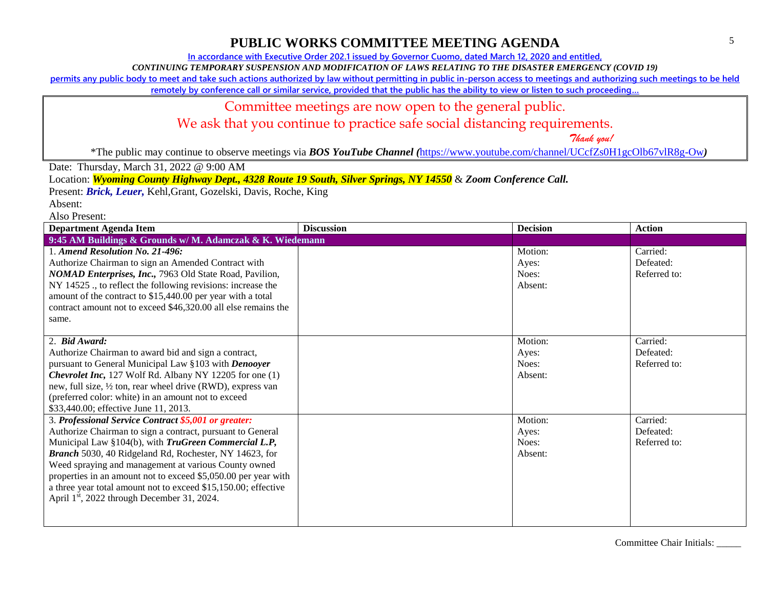**In accordance with Executive Order 202.1 issued by Governor Cuomo, dated March 12, 2020 and entitled,**

*CONTINUING TEMPORARY SUSPENSION AND MODIFICATION OF LAWS RELATING TO THE DISASTER EMERGENCY (COVID 19)*

**permits any public body to meet and take such actions authorized by law without permitting in public in-person access to meetings and authorizing such meetings to be held** 

**remotely by conference call or similar service, provided that the public has the ability to view or listen to such proceeding…**

#### Committee meetings are now open to the general public.

We ask that you continue to practice safe social distancing requirements.

 *Thank you!*

\*The public may continue to observe meetings via *BOS YouTube Channel (*<https://www.youtube.com/channel/UCcfZs0H1gcOlb67vlR8g-Ow>*)*

Date: Thursday, March 31, 2022 @ 9:00 AM

Location: *Wyoming County Highway Dept., 4328 Route 19 South, Silver Springs, NY 14550* & *Zoom Conference Call.*

Present: *Brick, Leuer,* Kehl,Grant, Gozelski, Davis, Roche, King

Absent:

Also Present:

| <b>Department Agenda Item</b>                                                                                                                                                                                                                                                                                                                                                                                                                                                                       | <b>Discussion</b> | <b>Decision</b>                      | <b>Action</b>                         |
|-----------------------------------------------------------------------------------------------------------------------------------------------------------------------------------------------------------------------------------------------------------------------------------------------------------------------------------------------------------------------------------------------------------------------------------------------------------------------------------------------------|-------------------|--------------------------------------|---------------------------------------|
| 9:45 AM Buildings & Grounds w/ M. Adamczak & K. Wiedemann                                                                                                                                                                                                                                                                                                                                                                                                                                           |                   |                                      |                                       |
| 1. Amend Resolution No. 21-496:<br>Authorize Chairman to sign an Amended Contract with<br>NOMAD Enterprises, Inc., 7963 Old State Road, Pavilion,<br>NY 14525 ., to reflect the following revisions: increase the<br>amount of the contract to \$15,440.00 per year with a total<br>contract amount not to exceed \$46,320.00 all else remains the<br>same.                                                                                                                                         |                   | Motion:<br>Ayes:<br>Noes:<br>Absent: | Carried:<br>Defeated:<br>Referred to: |
| 2. Bid Award:<br>Authorize Chairman to award bid and sign a contract,<br>pursuant to General Municipal Law §103 with Denooyer<br><b>Chevrolet Inc, 127 Wolf Rd. Albany NY 12205 for one (1)</b><br>new, full size, 1/2 ton, rear wheel drive (RWD), express van<br>(preferred color: white) in an amount not to exceed<br>\$33,440.00; effective June 11, 2013.                                                                                                                                     |                   | Motion:<br>Ayes:<br>Noes:<br>Absent: | Carried:<br>Defeated:<br>Referred to: |
| 3. Professional Service Contract \$5,001 or greater:<br>Authorize Chairman to sign a contract, pursuant to General<br>Municipal Law §104(b), with <i>TruGreen Commercial L.P</i> ,<br>Branch 5030, 40 Ridgeland Rd, Rochester, NY 14623, for<br>Weed spraying and management at various County owned<br>properties in an amount not to exceed \$5,050.00 per year with<br>a three year total amount not to exceed \$15,150.00; effective<br>April 1 <sup>st</sup> , 2022 through December 31, 2024. |                   | Motion:<br>Ayes:<br>Noes:<br>Absent: | Carried:<br>Defeated:<br>Referred to: |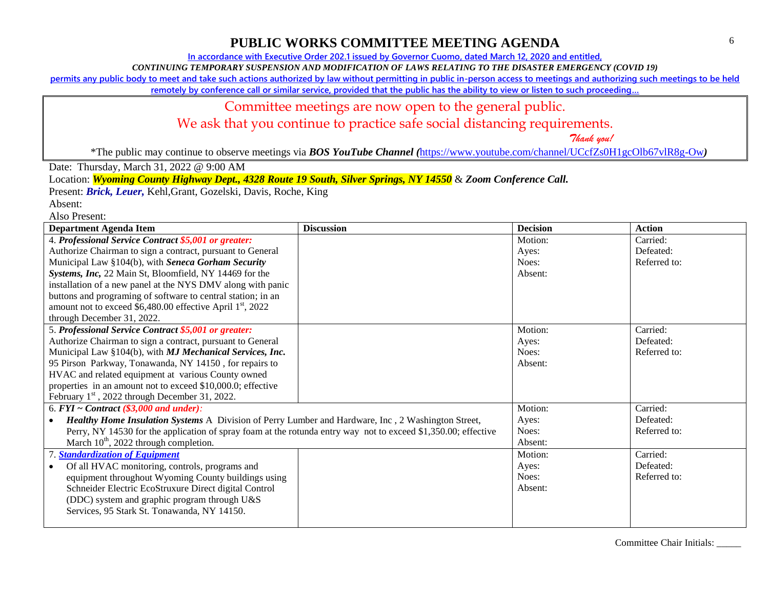**In accordance with Executive Order 202.1 issued by Governor Cuomo, dated March 12, 2020 and entitled,**

*CONTINUING TEMPORARY SUSPENSION AND MODIFICATION OF LAWS RELATING TO THE DISASTER EMERGENCY (COVID 19)*

**permits any public body to meet and take such actions authorized by law without permitting in public in-person access to meetings and authorizing such meetings to be held** 

**remotely by conference call or similar service, provided that the public has the ability to view or listen to such proceeding…**

### Committee meetings are now open to the general public.

We ask that you continue to practice safe social distancing requirements.

 *Thank you!*

\*The public may continue to observe meetings via *BOS YouTube Channel (*<https://www.youtube.com/channel/UCcfZs0H1gcOlb67vlR8g-Ow>*)*

Date: Thursday, March 31, 2022 @ 9:00 AM

Location: *Wyoming County Highway Dept., 4328 Route 19 South, Silver Springs, NY 14550* & *Zoom Conference Call.*

Present: *Brick, Leuer,* Kehl,Grant, Gozelski, Davis, Roche, King

Absent:

Also Present:

| <b>Department Agenda Item</b>                                                                                  | <b>Discussion</b> | <b>Decision</b> | <b>Action</b> |
|----------------------------------------------------------------------------------------------------------------|-------------------|-----------------|---------------|
| 4. Professional Service Contract \$5,001 or greater:                                                           |                   | Motion:         | Carried:      |
| Authorize Chairman to sign a contract, pursuant to General                                                     |                   | Ayes:           | Defeated:     |
| Municipal Law §104(b), with Seneca Gorham Security                                                             |                   | Noes:           | Referred to:  |
| Systems, Inc, 22 Main St, Bloomfield, NY 14469 for the                                                         |                   | Absent:         |               |
| installation of a new panel at the NYS DMV along with panic                                                    |                   |                 |               |
| buttons and programing of software to central station; in an                                                   |                   |                 |               |
| amount not to exceed \$6,480.00 effective April 1 <sup>st</sup> , 2022                                         |                   |                 |               |
| through December 31, 2022.                                                                                     |                   |                 |               |
| 5. Professional Service Contract \$5,001 or greater:                                                           |                   | Motion:         | Carried:      |
| Authorize Chairman to sign a contract, pursuant to General                                                     |                   | Ayes:           | Defeated:     |
| Municipal Law §104(b), with MJ Mechanical Services, Inc.                                                       |                   | Noes:           | Referred to:  |
| 95 Pirson Parkway, Tonawanda, NY 14150, for repairs to                                                         |                   | Absent:         |               |
| HVAC and related equipment at various County owned                                                             |                   |                 |               |
| properties in an amount not to exceed \$10,000.0; effective                                                    |                   |                 |               |
| February 1 <sup>st</sup> , 2022 through December 31, 2022.                                                     |                   |                 |               |
| 6. $FYI \sim Contract$ (\$3,000 and under):                                                                    |                   | Motion:         | Carried:      |
| Healthy Home Insulation Systems A Division of Perry Lumber and Hardware, Inc., 2 Washington Street,            |                   | Ayes:           | Defeated:     |
| Perry, NY 14530 for the application of spray foam at the rotunda entry way not to exceed \$1,350.00; effective |                   | Noes:           | Referred to:  |
| March $10^{th}$ , 2022 through completion.                                                                     |                   | Absent:         |               |
| 7. Standardization of Equipment                                                                                |                   | Motion:         | Carried:      |
| Of all HVAC monitoring, controls, programs and                                                                 |                   | Ayes:           | Defeated:     |
| equipment throughout Wyoming County buildings using                                                            |                   | Noes:           | Referred to:  |
| Schneider Electric EcoStruxure Direct digital Control                                                          |                   | Absent:         |               |
| (DDC) system and graphic program through U&S                                                                   |                   |                 |               |
| Services, 95 Stark St. Tonawanda, NY 14150.                                                                    |                   |                 |               |
|                                                                                                                |                   |                 |               |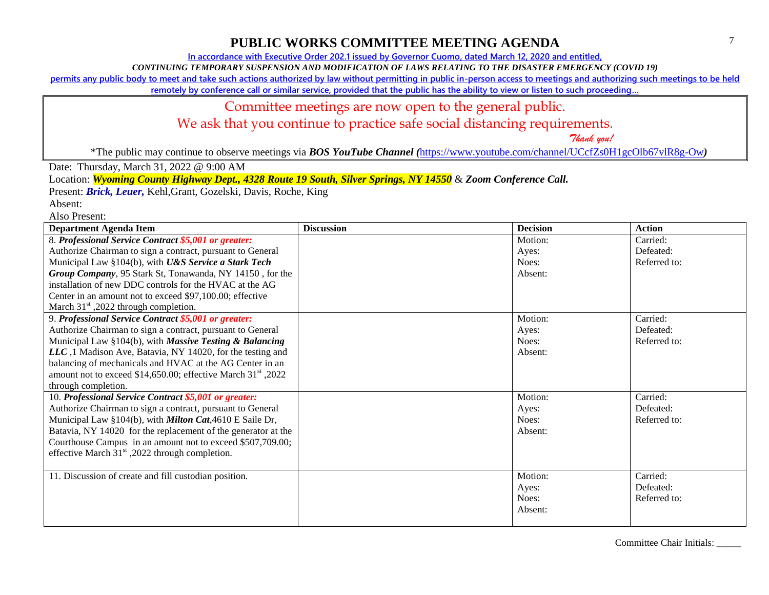**In accordance with Executive Order 202.1 issued by Governor Cuomo, dated March 12, 2020 and entitled,**

*CONTINUING TEMPORARY SUSPENSION AND MODIFICATION OF LAWS RELATING TO THE DISASTER EMERGENCY (COVID 19)*

**permits any public body to meet and take such actions authorized by law without permitting in public in-person access to meetings and authorizing such meetings to be held** 

**remotely by conference call or similar service, provided that the public has the ability to view or listen to such proceeding…**

#### Committee meetings are now open to the general public.

We ask that you continue to practice safe social distancing requirements.

 *Thank you!*

\*The public may continue to observe meetings via *BOS YouTube Channel (*<https://www.youtube.com/channel/UCcfZs0H1gcOlb67vlR8g-Ow>*)*

Date: Thursday, March 31, 2022 @ 9:00 AM

Location: *Wyoming County Highway Dept., 4328 Route 19 South, Silver Springs, NY 14550* & *Zoom Conference Call.*

Present: *Brick, Leuer,* Kehl,Grant, Gozelski, Davis, Roche, King

Absent:

Also Present:

| <b>Department Agenda Item</b>                                    | <b>Discussion</b> | <b>Decision</b> | <b>Action</b> |
|------------------------------------------------------------------|-------------------|-----------------|---------------|
| 8. Professional Service Contract \$5,001 or greater:             |                   | Motion:         | Carried:      |
| Authorize Chairman to sign a contract, pursuant to General       |                   | Ayes:           | Defeated:     |
| Municipal Law §104(b), with U&S Service a Stark Tech             |                   | Noes:           | Referred to:  |
| Group Company, 95 Stark St, Tonawanda, NY 14150, for the         |                   | Absent:         |               |
| installation of new DDC controls for the HVAC at the AG          |                   |                 |               |
| Center in an amount not to exceed \$97,100.00; effective         |                   |                 |               |
| March $31st$ , 2022 through completion.                          |                   |                 |               |
| 9. Professional Service Contract \$5,001 or greater:             |                   | Motion:         | Carried:      |
| Authorize Chairman to sign a contract, pursuant to General       |                   | Ayes:           | Defeated:     |
| Municipal Law §104(b), with Massive Testing & Balancing          |                   | Noes:           | Referred to:  |
| LLC, 1 Madison Ave, Batavia, NY 14020, for the testing and       |                   | Absent:         |               |
| balancing of mechanicals and HVAC at the AG Center in an         |                   |                 |               |
| amount not to exceed \$14,650.00; effective March $31st$ , 2022  |                   |                 |               |
| through completion.                                              |                   |                 |               |
| 10. Professional Service Contract \$5,001 or greater:            |                   | Motion:         | Carried:      |
| Authorize Chairman to sign a contract, pursuant to General       |                   | Ayes:           | Defeated:     |
| Municipal Law §104(b), with <i>Milton Cat</i> , 4610 E Saile Dr, |                   | Noes:           | Referred to:  |
| Batavia, NY 14020 for the replacement of the generator at the    |                   | Absent:         |               |
| Courthouse Campus in an amount not to exceed \$507,709.00;       |                   |                 |               |
| effective March $31st$ , 2022 through completion.                |                   |                 |               |
|                                                                  |                   |                 |               |
| 11. Discussion of create and fill custodian position.            |                   | Motion:         | Carried:      |
|                                                                  |                   | Ayes:           | Defeated:     |
|                                                                  |                   | Noes:           | Referred to:  |
|                                                                  |                   | Absent:         |               |
|                                                                  |                   |                 |               |